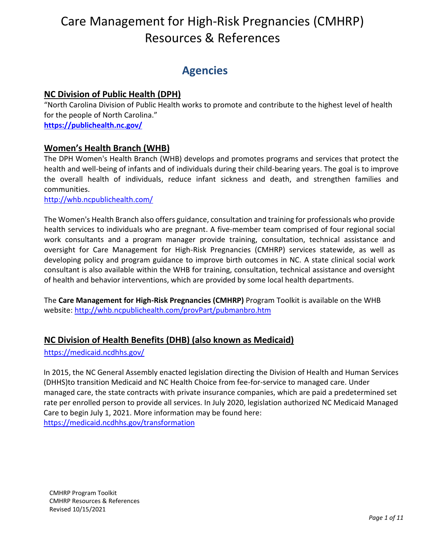# **Agencies**

# **NC Division of Public Health (DPH)**

"North Carolina Division of Public Health works to promote and contribute to the highest level of health for the people of North Carolina." **<https://publichealth.nc.gov/>**

# **Women's Health Branch (WHB)**

The DPH Women's Health Branch (WHB) develops and promotes programs and services that protect the health and well-being of infants and of individuals during their child-bearing years. The goal is to improve the overall health of individuals, reduce infant sickness and death, and strengthen families and communities.

<http://whb.ncpublichealth.com/>

The Women's Health Branch also offers guidance, consultation and training for professionals who provide health services to individuals who are pregnant. A five-member team comprised of four regional social work consultants and a program manager provide training, consultation, technical assistance and oversight for Care Management for High-Risk Pregnancies (CMHRP) services statewide, as well as developing policy and program guidance to improve birth outcomes in NC. A state clinical social work consultant is also available within the WHB for training, consultation, technical assistance and oversight of health and behavior interventions, which are provided by some local health departments.

The **Care Management for High-Risk Pregnancies (CMHRP)** Program Toolkit is available on the WHB website:<http://whb.ncpublichealth.com/provPart/pubmanbro.htm>

# **NC Division of Health Benefits (DHB) (also known as Medicaid)**

<https://medicaid.ncdhhs.gov/>

In 2015, the NC General Assembly enacted legislation directing the Division of Health and Human Services (DHHS)to transition Medicaid and NC Health Choice from fee-for-service to managed care. Under managed care, the state contracts with private insurance companies, which are paid a predetermined set rate per enrolled person to provide all services. In July 2020, legislation authorized NC Medicaid Managed Care to begin July 1, 2021. More information may be found here: <https://medicaid.ncdhhs.gov/transformation>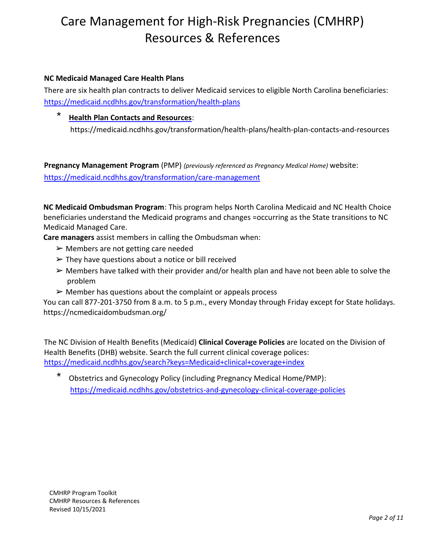### **NC Medicaid Managed Care Health Plans**

There are six health plan contracts to deliver Medicaid services to eligible North Carolina beneficiaries: <https://medicaid.ncdhhs.gov/transformation/health-plans>

# **Health Plan Contacts and Resources:**

https://medicaid.ncdhhs.gov/transformation/health-plans/health-plan-contacts-and-resources

**Pregnancy Management Program** (PMP) *(previously referenced as Pregnancy Medical Home)* website: <https://medicaid.ncdhhs.gov/transformation/care-management>

**NC Medicaid Ombudsman Program**: This program helps North Carolina Medicaid and NC Health Choice beneficiaries understand the Medicaid programs and changes =occurring as the State transitions to NC Medicaid Managed Care.

**Care managers** assist members in calling the Ombudsman when:

- $\triangleright$  Members are not getting care needed
- $\triangleright$  They have questions about a notice or bill received
- $\triangleright$  Members have talked with their provider and/or health plan and have not been able to solve the problem
- $\triangleright$  Member has questions about the complaint or appeals process

You can call 877-201-3750 from 8 a.m. to 5 p.m., every Monday through Friday except for State holidays. https://ncmedicaidombudsman.org/

The NC Division of Health Benefits (Medicaid) **Clinical Coverage Policies** are located on the Division of Health Benefits (DHB) website. Search the full current clinical coverage polices: <https://medicaid.ncdhhs.gov/search?keys=Medicaid+clinical+coverage+index>

Obstetrics and Gynecology Policy (including Pregnancy Medical Home/PMP): <https://medicaid.ncdhhs.gov/obstetrics-and-gynecology-clinical-coverage-policies>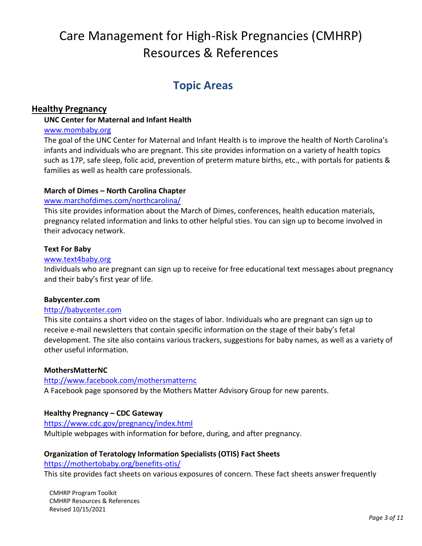# **Topic Areas**

# **Healthy Pregnancy**

# **UNC Center for Maternal and Infant Health**

#### [www.mombaby.org](http://www.mombaby.org/)

The goal of the UNC Center for Maternal and Infant Health is to improve the health of North Carolina's infants and individuals who are pregnant. This site provides information on a variety of health topics such as 17P, safe sleep, folic acid, prevention of preterm mature births, etc., with portals for patients & families as well as health care professionals.

#### **March of Dimes – North Carolina Chapter**

#### [www.marchofdimes.com/northcarolina/](http://www.marchofdimes.com/northcarolina/)

This site provides information about the March of Dimes, conferences, health education materials, pregnancy related information and links to other helpful sties. You can sign up to become involved in their advocacy network.

#### **Text For Baby**

#### [www.text4baby.org](http://www.text4baby.org/)

Individuals who are pregnant can sign up to receive for free educational text messages about pregnancy and their baby's first year of life.

## **Babycenter.com**

#### [http://babycenter.com](http://babycenter.com/)

This site contains a short video on the stages of labor. Individuals who are pregnant can sign up to receive e-mail newsletters that contain specific information on the stage of their baby's fetal development. The site also contains various trackers, suggestions for baby names, as well as a variety of other useful information.

## **MothersMatterNC**

# <http://www.facebook.com/mothersmatternc> A Facebook page sponsored by the Mothers Matter Advisory Group for new parents.

## **Healthy Pregnancy – CDC Gateway**

# <https://www.cdc.gov/pregnancy/index.html>

Multiple webpages with information for before, during, and after pregnancy.

## **Organization of Teratology Information Specialists (OTIS) Fact Sheets**

<https://mothertobaby.org/benefits-otis/>

This site provides fact sheets on various exposures of concern. These fact sheets answer frequently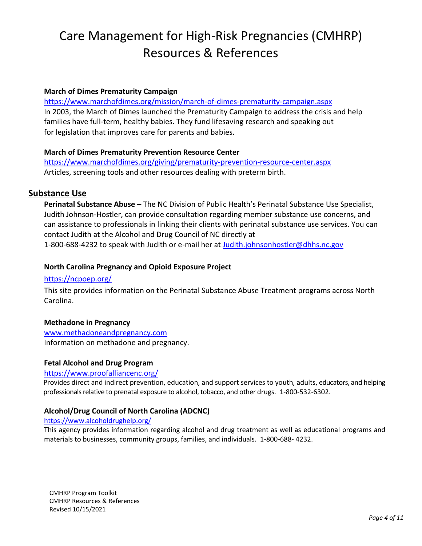#### **March of Dimes Prematurity Campaign**

<https://www.marchofdimes.org/mission/march-of-dimes-prematurity-campaign.aspx> In 2003, the March of Dimes launched the [Prematurity Campaign t](http://www.marchofdimes.com/mission/prematurity_campaign.html)o address the crisis and help families have full-term, healthy babies. They fund lifesaving [research a](http://www.marchofdimes.com/research/prematurityresearch.html)nd speaking out for [legislation t](http://www.marchofdimes.com/advocacy/advocacy.html)hat improves care for parents and babies.

#### **March of Dimes Prematurity Prevention Resource Center**

<https://www.marchofdimes.org/giving/prematurity-prevention-resource-center.aspx> Articles, screening tools and other resources dealing with preterm birth.

## **Substance Use**

**Perinatal Substance Abuse –** The NC Division of Public Health's Perinatal Substance Use Specialist, Judith Johnson-Hostler, can provide consultation regarding member substance use concerns, and can assistance to professionals in linking their clients with perinatal substance use services. You can contact Judith at the Alcohol and Drug Council of NC directly at 1-800-688-4232 to speak with Judith or e-mail her at [Judith.johnsonhostler@dhhs.nc.gov](mailto:Judith.johnsonhostler@dhhs.nc.gov)

#### **North Carolina Pregnancy and Opioid Exposure Project**

#### <https://ncpoep.org/>

This site provides information on the Perinatal Substance Abuse Treatment programs across North Carolina.

## **Methadone in Pregnancy**

[www.methadoneandpregnancy.com](http://www.methadoneandpregnancy.com/) Information on methadone and pregnancy.

#### **Fetal Alcohol and Drug Program**

#### <https://www.proofalliancenc.org/>

Provides direct and indirect prevention, education, and support services to youth, adults, educators, and helping professionals relative to prenatal exposure to alcohol, tobacco, and other drugs. 1-800-532-6302.

#### **Alcohol/Drug Council of North Carolina (ADCNC)**

#### <https://www.alcoholdrughelp.org/>

This agency provides information regarding alcohol and drug treatment as well as educational programs and materials to businesses, community groups, families, and individuals. 1-800-688- 4232.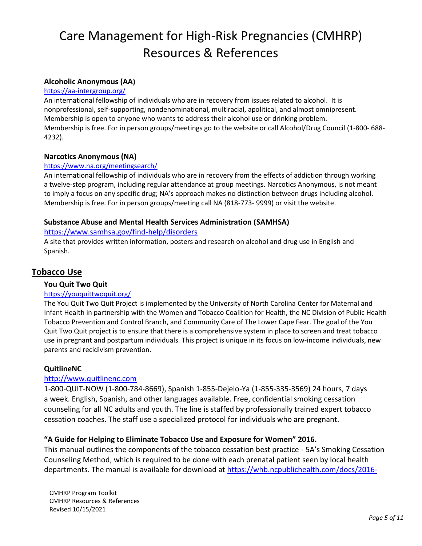# **Alcoholic Anonymous (AA)**

#### <https://aa-intergroup.org/>

An international fellowship of individuals who are in recovery from issues related to alcohol. It is nonprofessional, self-supporting, nondenominational, multiracial, apolitical, and almost omnipresent. Membership is open to anyone who wants to address their alcohol use or drinking problem. Membership is free. For in person groups/meetings go to the website or call Alcohol/Drug Council (1-800- 688- 4232).

#### **Narcotics Anonymous (NA)**

#### <https://www.na.org/meetingsearch/>

An international fellowship of individuals who are in recovery from the effects of addiction through working a twelve-step program, including regular attendance at group meetings. Narcotics Anonymous, is not meant to imply a focus on any specific drug; NA's approach makes no distinction between drugs including alcohol. Membership is free. For in person groups/meeting call NA (818-773- 9999) or visit the website.

#### **Substance Abuse and Mental Health Services Administration (SAMHSA)**

#### <https://www.samhsa.gov/find-help/disorders>

A site that provides written information, posters and research on alcohol and drug use in English and Spanish.

# **Tobacco Use**

#### **You Quit Two Quit**

#### <https://youquittwoquit.org/>

The You Quit Two Quit Project is implemented by the University of North Carolina [Center for](http://mombaby.org/) [Maternal and](http://mombaby.org/)  [Infant Health i](http://mombaby.org/)n partnership with the Women and Tobacco Coalition for Health, the NC Division of Public Health [Tobacco Prevention and Control Branch,](http://www.tobaccopreventionandcontrol.ncdhhs.gov/) and [Community Care](http://www.carelcf.org/) [of The Lower Cape Fear.](http://www.carelcf.org/) The goal of the You Quit Two Quit project is to ensure that there is a comprehensive system in place to screen and treat tobacco use in pregnant and postpartum individuals. This project is unique in its focus on low-income individuals, new parents and recidivism prevention.

#### **QuitlineNC**

#### [http://www.quitlinenc.com](http://www.quitlinenc.com/)

1-800-QUIT-NOW (1-800-784-8669), Spanish 1-855-Dejelo-Ya (1-855-335-3569) 24 hours, 7 days a week. English, Spanish, and other languages available. Free, confidential smoking cessation counseling for all NC adults and youth. The line is staffed by professionally trained expert tobacco cessation coaches. The staff use a specialized protocol for individuals who are pregnant.

## **"A Guide for Helping to Eliminate Tobacco Use and Exposure for Women" 2016.**

This manual outlines the components of the tobacco cessation best practice - 5A's Smoking Cessation Counseling Method, which is required to be done with each prenatal patient seen by local health departments. The manual is available for download at [https://whb.ncpublichealth.com/docs/2016-](https://whb.ncpublichealth.com/docs/2016-GuideforCounselingWomenWhoSmoke.pdf)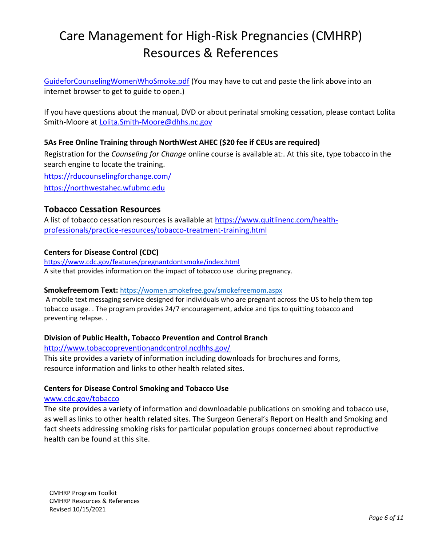[GuideforCounselingWomenWhoSmoke.pdf](https://whb.ncpublichealth.com/docs/2016-GuideforCounselingWomenWhoSmoke.pdf) (You may have to cut and paste the link above into an internet browser to get to guide to open.)

If you have questions about the manual, DVD or about perinatal smoking cessation, please contact Lolita Smith-Moore at [Lolita.Smith-Moore@dhhs.nc.gov](mailto:Lolita.Smith-Moore@dhhs.nc.gov)

# **5As Free Online Training through NorthWest AHEC (\$20 fee if CEUs are required)**

Registration for the *Counseling for Change* online course is available at:. At this site, type tobacco in the search engine to locate the training.

<https://rducounselingforchange.com/> [https://northwestahec.wfubmc.edu](https://northwestahec.wfubmc.edu/)

# **Tobacco Cessation Resources**

A list of tobacco cessation resources is available at [https://www.quitlinenc.com/health](https://www.quitlinenc.com/health-professionals/practice-resources/tobacco-treatment-training.html)[professionals/practice-resources/tobacco-treatment-training.html](https://www.quitlinenc.com/health-professionals/practice-resources/tobacco-treatment-training.html)

#### **Centers for Disease Control (CDC)**

<https://www.cdc.gov/features/pregnantdontsmoke/index.html> A site that provides information on the impact of tobacco use during pregnancy.

#### **Smokefreemom Text:** <https://women.smokefree.gov/smokefreemom.aspx>

A mobile text messaging service designed for individuals who are pregnant across the US to help them top tobacco usage. . The program provides 24/7 encouragement, advice and tips to quitting tobacco and preventing relapse. .

## **Division of Public Health, Tobacco Prevention and Control Branch**

<http://www.tobaccopreventionandcontrol.ncdhhs.gov/>

This site provides a variety of information including downloads for brochures and forms, resource information and links to other health related sites.

## **Centers for Disease Control Smoking and Tobacco Use**

#### [www.cdc.gov/tobacco](http://www.cdc.gov/tobacco)

The site provides a variety of information and downloadable publications on smoking and tobacco use, as well as links to other health related sites. The Surgeon General's Report on Health and Smoking and fact sheets addressing smoking risks for particular population groups concerned about reproductive health can be found at this site.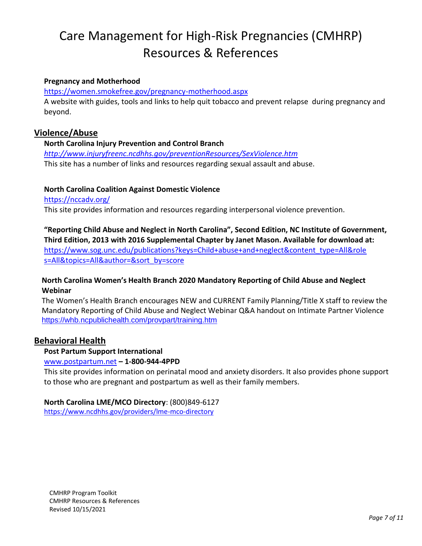#### **Pregnancy and Motherhood**

<https://women.smokefree.gov/pregnancy-motherhood.aspx>

A website with guides, tools and links to help quit tobacco and prevent relapse during pregnancy and beyond.

## **Violence/Abuse**

#### **North Carolina Injury Prevention and Control Branch**

*<http://www.injuryfreenc.ncdhhs.gov/preventionResources/SexViolence.htm>* This site has a number of links and resources regarding sexual assault and abuse.

#### **North Carolina Coalition Against Domestic Violence**

<https://nccadv.org/>

This site provides information and resources regarding interpersonal violence prevention.

**"Reporting Child Abuse and Neglect in North Carolina", Second Edition, NC Institute of Government, Third Edition, 2013 with 2016 Supplemental Chapter by Janet Mason. Available for download at:** 

[https://www.sog.unc.edu/publications?keys=Child+abuse+and+neglect&content\\_type=All&role](https://www.sog.unc.edu/publications?keys=Child%2Babuse%2Band%2Bneglect&content_type=All&roles=All&topics=All&author&sort_by=score) [s=All&topics=All&author=&sort\\_by=score](https://www.sog.unc.edu/publications?keys=Child%2Babuse%2Band%2Bneglect&content_type=All&roles=All&topics=All&author&sort_by=score)

#### **North Carolina Women's Health Branch 2020 Mandatory Reporting of Child Abuse and Neglect Webinar**

The Women's Health Branch encourages NEW and CURRENT Family Planning/Title X staff to review the Mandatory Reporting of Child Abuse and Neglect Webinar Q&A handout on Intimate Partner Violence <https://whb.ncpublichealth.com/provpart/training.htm>

## **Behavioral Health**

#### **Post Partum Support International**

#### [www.postpartum.net](http://www.postpartum.net/) **– 1-800-944-4PPD**

This site provides information on perinatal mood and anxiety disorders. It also provides phone support to those who are pregnant and postpartum as well as their family members.

#### **North Carolina LME/MCO Directory**: (800)849-6127

<https://www.ncdhhs.gov/providers/lme-mco-directory>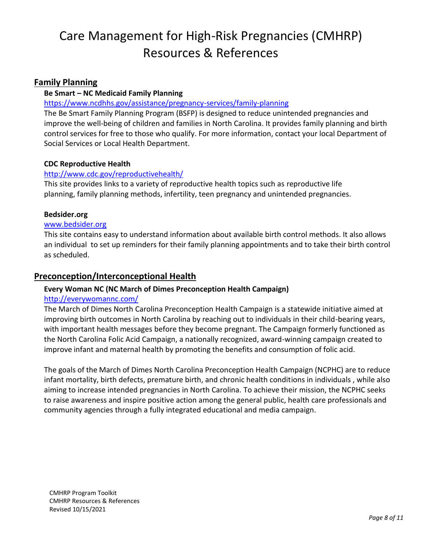# **Family Planning**

### **Be Smart – NC Medicaid Family Planning**

#### <https://www.ncdhhs.gov/assistance/pregnancy-services/family-planning>

The Be Smart Family Planning Program (BSFP) is designed to reduce unintended pregnancies and improve the well-being of children and families in North Carolina. It provides family planning and birth control services for free to those who qualify. For more information, contact your local Department of Social Services or Local Health Department.

#### **CDC Reproductive Health**

#### <http://www.cdc.gov/reproductivehealth/>

This site provides links to a variety of reproductive health topics such as reproductive life planning, family planning methods, infertility, teen pregnancy and unintended pregnancies.

#### **Bedsider.org**

#### [www.bedsider.org](http://www.bedsider.org/)

This site contains easy to understand information about available birth control methods. It also allows an individual to set up reminders for their family planning appointments and to take their birth control as scheduled.

# **Preconception/Interconceptional Health**

## **Every Woman NC (NC March of Dimes Preconception Health Campaign)**

#### <http://everywomannc.com/>

The March of Dimes North Carolina Preconception Health Campaign is a statewide initiative aimed at improving birth outcomes in North Carolina by reaching out to individuals in their child-bearing years, with important health messages before they become pregnant. The Campaign formerly functioned as the North Carolina Folic Acid Campaign, a nationally recognized, award-winning campaign created to improve infant and maternal health by promoting the benefits and consumption of folic acid.

The [goals](http://everywomannc.com/about-us/our-goals-and-partners) of the March of Dimes North Carolina Preconception Health Campaign (NCPHC) are to reduce infant mortality, birth defects, premature birth, and chronic health conditions in individuals , while also aiming to increase intended pregnancies in North Carolina. To achieve their mission, the NCPHC seeks to raise awareness and inspire positive action among the general public, health care professionals and community agencies through a fully integrated educational and media campaign.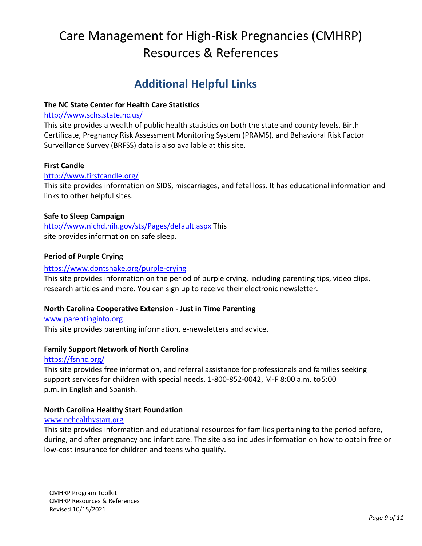# **Additional Helpful Links**

### **The NC State Center for Health Care Statistics**

#### <http://www.schs.state.nc.us/>

This site provides a wealth of public health statistics on both the state and county levels. Birth Certificate, Pregnancy Risk Assessment Monitoring System (PRAMS), and Behavioral Risk Factor Surveillance Survey (BRFSS) data is also available at this site.

#### **First Candle**

#### <http://www.firstcandle.org/>

This site provides information on SIDS, miscarriages, and fetal loss. It has educational information and links to other helpful sites.

#### **Safe to Sleep Campaign**

<http://www.nichd.nih.gov/sts/Pages/default.aspx> This site provides information on safe sleep.

#### **Period of Purple Crying**

#### <https://www.dontshake.org/purple-crying>

This site provides information on the period of purple crying, including parenting tips, video clips, research articles and more. You can sign up to receive their electronic newsletter.

#### **North Carolina Cooperative Extension - Just in Time Parenting**

#### [www.parentinginfo.org](http://www.parentinginfo.org/)

This site provides parenting information, e-newsletters and advice.

#### **Family Support Network of North Carolina**

#### <https://fsnnc.org/>

This site provides free information, and referral assistance for professionals and families seeking support services for children with special needs. 1-800-852-0042, M-F 8:00 a.m. to5:00 p.m. in English and Spanish.

#### **North Carolina Healthy Start Foundation**

#### [www.nchealthystart.org](http://www.nchealthystart.org/)

This site provides information and educational resources for families pertaining to the period before, during, and after pregnancy and infant care. The site also includes information on how to obtain free or low-cost insurance for children and teens who qualify.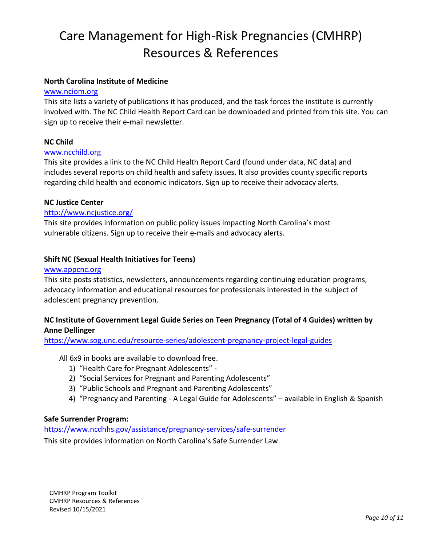#### **North Carolina Institute of Medicine**

#### [www.nciom.org](http://www.nciom.org/)

This site lists a variety of publications it has produced, and the task forces the institute is currently involved with. The NC Child Health Report Card can be downloaded and printed from this site. You can sign up to receive their e-mail newsletter.

#### **NC Child**

#### [www.ncchild.org](http://www.ncchild.org/)

This site provides a link to the NC Child Health Report Card (found under data, NC data) and includes several reports on child health and safety issues. It also provides county specific reports regarding child health and economic indicators. Sign up to receive their advocacy alerts.

#### **NC Justice Center**

#### <http://www.ncjustice.org/>

This site provides information on public policy issues impacting North Carolina's most vulnerable citizens. Sign up to receive their e-mails and advocacy alerts.

#### **Shift NC (Sexual Health Initiatives for Teens)**

#### [www.appcnc.org](http://www.appcnc.org/)

This site posts statistics, newsletters, announcements regarding continuing education programs, advocacy information and educational resources for professionals interested in the subject of adolescent pregnancy prevention.

#### **NC Institute of Government Legal Guide Series on Teen Pregnancy (Total of 4 Guides) written by Anne Dellinger**

<https://www.sog.unc.edu/resource-series/adolescent-pregnancy-project-legal-guides>

- All 6x9 in books are available to download free.
	- 1) "Health Care for Pregnant Adolescents" -
	- 2) "Social Services for Pregnant and Parenting Adolescents"
	- 3) "Public Schools and Pregnant and Parenting Adolescents"
	- 4) "Pregnancy and Parenting A Legal Guide for Adolescents" available in English & Spanish

#### **Safe Surrender Program:**

<https://www.ncdhhs.gov/assistance/pregnancy-services/safe-surrender>

This site provides information on North Carolina's Safe Surrender Law.